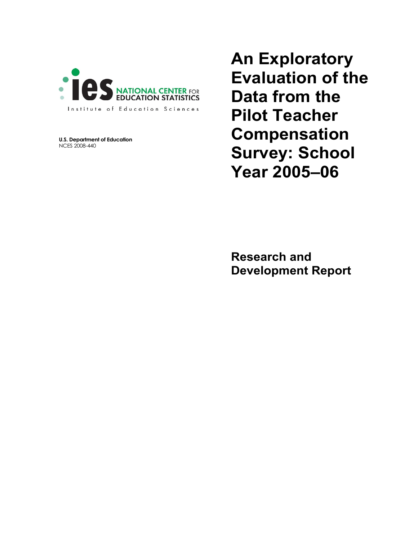

**U.S. Department of Education**  NCES 2008-440

**An Exploratory Evaluation of the Data from the Pilot Teacher Compensation Survey: School Year 2005–06** 

**Research and Development Report**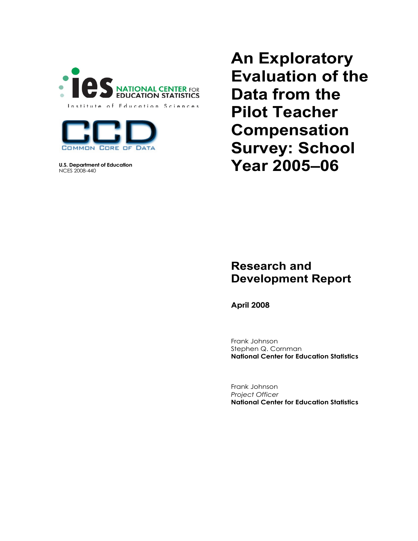



**U.S. Department of Education**  NCES 2008-440

**An Exploratory Evaluation of the Data from the Pilot Teacher Compensation Survey: School Year 2005–06** 

# **Research and Development Report**

**April 2008** 

Frank Johnson Stephen Q. Cornman **National Center for Education Statistics** 

Frank Johnson *Project Officer*  **National Center for Education Statistics**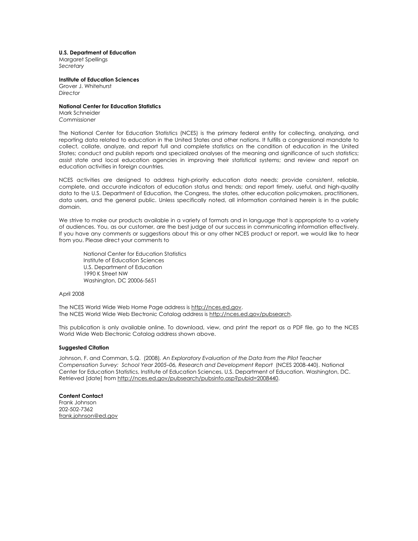#### **U.S. Department of Education**

Margaret Spellings *Secretary* 

**Institute of Education Sciences** 

Grover J. Whitehurst *Director* 

#### **National Center for Education Statistics**

Mark Schneider *Commissioner* 

The National Center for Education Statistics (NCES) is the primary federal entity for collecting, analyzing, and reporting data related to education in the United States and other nations. It fulfills a congressional mandate to collect, collate, analyze, and report full and complete statistics on the condition of education in the United States; conduct and publish reports and specialized analyses of the meaning and significance of such statistics; assist state and local education agencies in improving their statistical systems; and review and report on education activities in foreign countries*.* 

NCES activities are designed to address high-priority education data needs; provide consistent, reliable, complete, and accurate indicators of education status and trends; and report timely, useful, and high-quality data to the U.S. Department of Education, the Congress, the states, other education policymakers, practitioners, data users, and the general public. Unless specifically noted, all information contained herein is in the public domain.

We strive to make our products available in a variety of formats and in language that is appropriate to a variety of audiences. You, as our customer, are the best judge of our success in communicating information effectively. If you have any comments or suggestions about this or any other NCES product or report, we would like to hear from you. Please direct your comments to

 National Center for Education Statistics Institute of Education Sciences U.S. Department of Education 1990 K Street NW Washington, DC 20006-5651

April 2008

The NCES World Wide Web Home Page address is http://nces.ed.gov. The NCES World Wide Web Electronic Catalog address is http://nces.ed.gov/pubsearch.

This publication is only available online. To download, view, and print the report as a PDF file, go to the NCES World Wide Web Electronic Catalog address shown above.

### **Suggested Citation**

Johnson, F. and Cornman, S.Q. (2008)*. An Exploratory Evaluation of the Data from the Pilot Teacher Compensation Survey: School Year 2005–06, Research and Development Report* (NCES 2008-440). National Center for Education Statistics, Institute of Education Sciences, U.S. Department of Education. Washington, DC. Retrieved [date] from http://nces.ed.gov/pubsearch/pubsinfo.asp?pubid=2008440.

**Content Contact**  Frank Johnson 202-502-7362 frank.johnson@ed.gov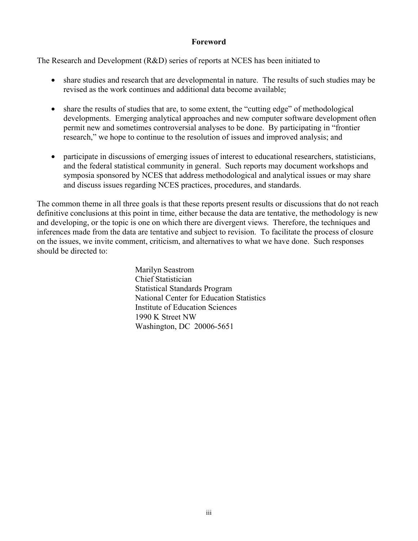### **Foreword**

The Research and Development (R&D) series of reports at NCES has been initiated to

- share studies and research that are developmental in nature. The results of such studies may be revised as the work continues and additional data become available;
- share the results of studies that are, to some extent, the "cutting edge" of methodological developments. Emerging analytical approaches and new computer software development often permit new and sometimes controversial analyses to be done. By participating in "frontier research," we hope to continue to the resolution of issues and improved analysis; and
- participate in discussions of emerging issues of interest to educational researchers, statisticians, and the federal statistical community in general. Such reports may document workshops and symposia sponsored by NCES that address methodological and analytical issues or may share and discuss issues regarding NCES practices, procedures, and standards.

The common theme in all three goals is that these reports present results or discussions that do not reach definitive conclusions at this point in time, either because the data are tentative, the methodology is new and developing, or the topic is one on which there are divergent views. Therefore, the techniques and inferences made from the data are tentative and subject to revision. To facilitate the process of closure on the issues, we invite comment, criticism, and alternatives to what we have done. Such responses should be directed to:

> Marilyn Seastrom Chief Statistician Statistical Standards Program National Center for Education Statistics Institute of Education Sciences 1990 K Street NW Washington, DC 20006-5651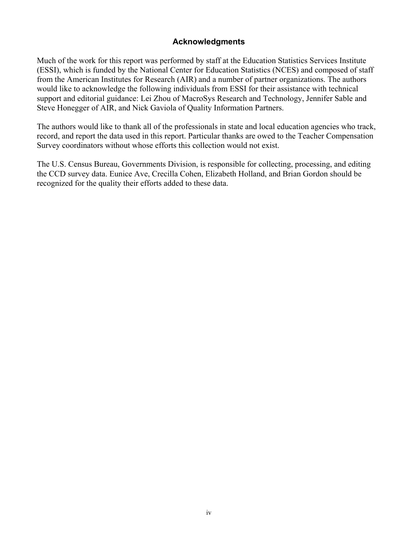### **Acknowledgments**

Much of the work for this report was performed by staff at the Education Statistics Services Institute (ESSI), which is funded by the National Center for Education Statistics (NCES) and composed of staff from the American Institutes for Research (AIR) and a number of partner organizations. The authors would like to acknowledge the following individuals from ESSI for their assistance with technical support and editorial guidance: Lei Zhou of MacroSys Research and Technology, Jennifer Sable and Steve Honegger of AIR, and Nick Gaviola of Quality Information Partners.

The authors would like to thank all of the professionals in state and local education agencies who track, record, and report the data used in this report. Particular thanks are owed to the Teacher Compensation Survey coordinators without whose efforts this collection would not exist.

The U.S. Census Bureau, Governments Division, is responsible for collecting, processing, and editing the CCD survey data. Eunice Ave, Crecilla Cohen, Elizabeth Holland, and Brian Gordon should be recognized for the quality their efforts added to these data.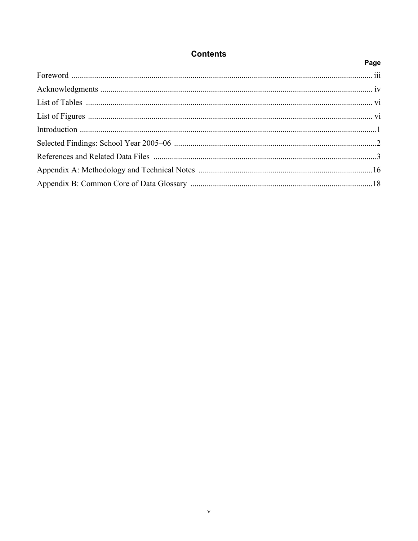## **Contents**

| Page |
|------|
|      |
|      |
|      |
|      |
|      |
|      |
|      |
|      |
|      |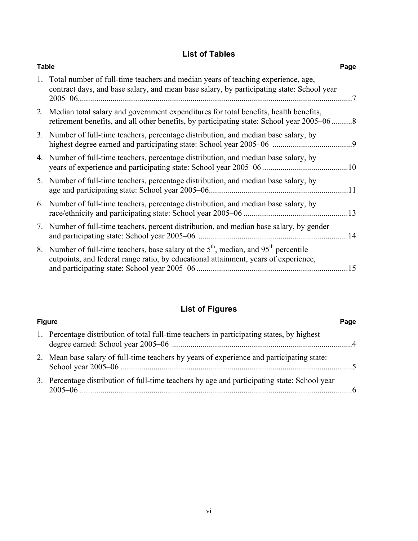# **List of Tables**

| <b>Table</b> |                                                                                                                                                                                                | Page |
|--------------|------------------------------------------------------------------------------------------------------------------------------------------------------------------------------------------------|------|
| 1.           | Total number of full-time teachers and median years of teaching experience, age,<br>contract days, and base salary, and mean base salary, by participating state: School year<br>$2005 - 06$ . |      |
|              | 2. Median total salary and government expenditures for total benefits, health benefits,<br>retirement benefits, and all other benefits, by participating state: School year 2005–06            |      |
|              | 3. Number of full-time teachers, percentage distribution, and median base salary, by                                                                                                           | 9    |
|              | 4. Number of full-time teachers, percentage distribution, and median base salary, by                                                                                                           | 10   |
|              | 5. Number of full-time teachers, percentage distribution, and median base salary, by                                                                                                           | 11   |
| 6.           | Number of full-time teachers, percentage distribution, and median base salary, by                                                                                                              | 13   |
| 7.           | Number of full-time teachers, percent distribution, and median base salary, by gender                                                                                                          | 14   |
| 8.           | Number of full-time teachers, base salary at the $5th$ , median, and $95th$ percentile<br>cutpoints, and federal range ratio, by educational attainment, years of experience,                  | 15   |

# **List of Figures**

| <b>Figure</b>                                                                                | Page |
|----------------------------------------------------------------------------------------------|------|
| 1. Percentage distribution of total full-time teachers in participating states, by highest   |      |
| 2. Mean base salary of full-time teachers by years of experience and participating state:    |      |
| 3. Percentage distribution of full-time teachers by age and participating state: School year |      |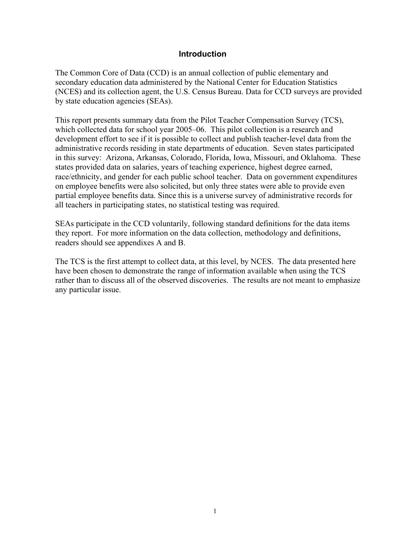### **Introduction**

The Common Core of Data (CCD) is an annual collection of public elementary and secondary education data administered by the National Center for Education Statistics (NCES) and its collection agent, the U.S. Census Bureau. Data for CCD surveys are provided by state education agencies (SEAs).

This report presents summary data from the Pilot Teacher Compensation Survey (TCS), which collected data for school year 2005–06. This pilot collection is a research and development effort to see if it is possible to collect and publish teacher-level data from the administrative records residing in state departments of education. Seven states participated in this survey: Arizona, Arkansas, Colorado, Florida, Iowa, Missouri, and Oklahoma. These states provided data on salaries, years of teaching experience, highest degree earned, race/ethnicity, and gender for each public school teacher. Data on government expenditures on employee benefits were also solicited, but only three states were able to provide even partial employee benefits data. Since this is a universe survey of administrative records for all teachers in participating states, no statistical testing was required.

SEAs participate in the CCD voluntarily, following standard definitions for the data items they report. For more information on the data collection, methodology and definitions, readers should see appendixes A and B.

The TCS is the first attempt to collect data, at this level, by NCES. The data presented here have been chosen to demonstrate the range of information available when using the TCS rather than to discuss all of the observed discoveries. The results are not meant to emphasize any particular issue.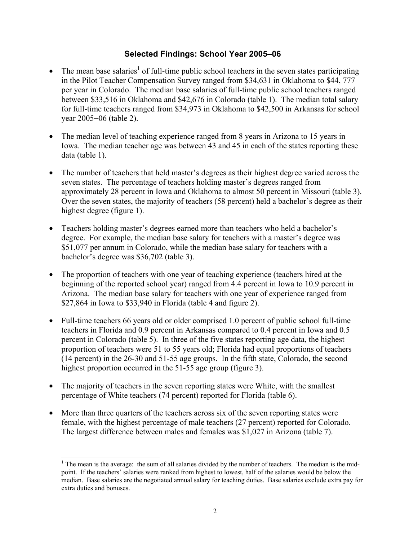## **Selected Findings: School Year 2005–06**

- $\bullet$  The mean base salaries<sup>1</sup> of full-time public school teachers in the seven states participating in the Pilot Teacher Compensation Survey ranged from \$34,631 in Oklahoma to \$44, 777 per year in Colorado. The median base salaries of full-time public school teachers ranged between \$33,516 in Oklahoma and \$42,676 in Colorado (table 1). The median total salary for full-time teachers ranged from \$34,973 in Oklahoma to \$42,500 in Arkansas for school year 2005–06 (table 2).
- The median level of teaching experience ranged from 8 years in Arizona to 15 years in Iowa. The median teacher age was between 43 and 45 in each of the states reporting these data (table 1).
- The number of teachers that held master's degrees as their highest degree varied across the seven states. The percentage of teachers holding master's degrees ranged from approximately 28 percent in Iowa and Oklahoma to almost 50 percent in Missouri (table 3). Over the seven states, the majority of teachers (58 percent) held a bachelor's degree as their highest degree (figure 1).
- Teachers holding master's degrees earned more than teachers who held a bachelor's degree. For example, the median base salary for teachers with a master's degree was \$51,077 per annum in Colorado, while the median base salary for teachers with a bachelor's degree was \$36,702 (table 3).
- The proportion of teachers with one year of teaching experience (teachers hired at the beginning of the reported school year) ranged from 4.4 percent in Iowa to 10.9 percent in Arizona. The median base salary for teachers with one year of experience ranged from \$27,864 in Iowa to \$33,940 in Florida (table 4 and figure 2).
- Full-time teachers 66 years old or older comprised 1.0 percent of public school full-time teachers in Florida and 0.9 percent in Arkansas compared to 0.4 percent in Iowa and 0.5 percent in Colorado (table 5). In three of the five states reporting age data, the highest proportion of teachers were 51 to 55 years old; Florida had equal proportions of teachers (14 percent) in the 26-30 and 51-55 age groups. In the fifth state, Colorado, the second highest proportion occurred in the 51-55 age group (figure 3).
- The majority of teachers in the seven reporting states were White, with the smallest percentage of White teachers (74 percent) reported for Florida (table 6).

l

• More than three quarters of the teachers across six of the seven reporting states were female, with the highest percentage of male teachers (27 percent) reported for Colorado. The largest difference between males and females was \$1,027 in Arizona (table 7).

 $<sup>1</sup>$  The mean is the average: the sum of all salaries divided by the number of teachers. The median is the mid-</sup> point. If the teachers' salaries were ranked from highest to lowest, half of the salaries would be below the median. Base salaries are the negotiated annual salary for teaching duties. Base salaries exclude extra pay for extra duties and bonuses.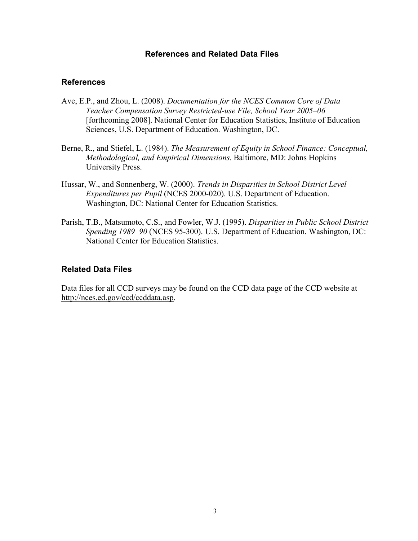### **References and Related Data Files**

### **References**

- Ave, E.P., and Zhou, L. (2008). *Documentation for the NCES Common Core of Data Teacher Compensation Survey Restricted-use File, School Year 2005–06* [forthcoming 2008]. National Center for Education Statistics, Institute of Education Sciences, U.S. Department of Education. Washington, DC.
- Berne, R., and Stiefel, L. (1984). *The Measurement of Equity in School Finance: Conceptual, Methodological, and Empirical Dimensions.* Baltimore, MD: Johns Hopkins University Press.
- Hussar, W., and Sonnenberg, W. (2000). *Trends in Disparities in School District Level Expenditures per Pupil* (NCES 2000-020). U.S. Department of Education. Washington, DC: National Center for Education Statistics.
- Parish, T.B., Matsumoto, C.S., and Fowler, W.J. (1995). *Disparities in Public School District Spending 1989–90* (NCES 95-300). U.S. Department of Education. Washington, DC: National Center for Education Statistics.

### **Related Data Files**

Data files for all CCD surveys may be found on the CCD data page of the CCD website at http://nces.ed.gov/ccd/ccddata.asp.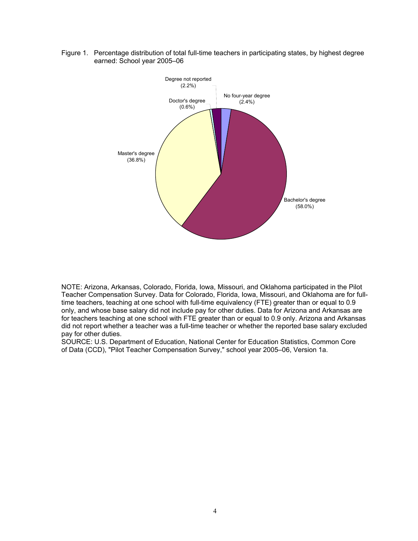Figure 1. Percentage distribution of total full-time teachers in participating states, by highest degree earned: School year 2005–06



NOTE: Arizona, Arkansas, Colorado, Florida, Iowa, Missouri, and Oklahoma participated in the Pilot Teacher Compensation Survey. Data for Colorado, Florida, Iowa, Missouri, and Oklahoma are for fulltime teachers, teaching at one school with full-time equivalency (FTE) greater than or equal to 0.9 only, and whose base salary did not include pay for other duties. Data for Arizona and Arkansas are for teachers teaching at one school with FTE greater than or equal to 0.9 only. Arizona and Arkansas did not report whether a teacher was a full-time teacher or whether the reported base salary excluded pay for other duties.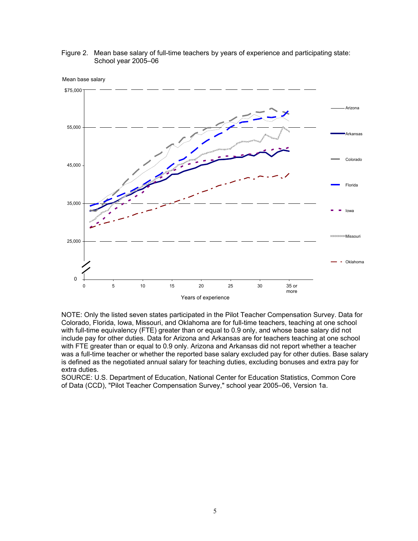



NOTE: Only the listed seven states participated in the Pilot Teacher Compensation Survey. Data for Colorado, Florida, Iowa, Missouri, and Oklahoma are for full-time teachers, teaching at one school with full-time equivalency (FTE) greater than or equal to 0.9 only, and whose base salary did not include pay for other duties. Data for Arizona and Arkansas are for teachers teaching at one school with FTE greater than or equal to 0.9 only. Arizona and Arkansas did not report whether a teacher was a full-time teacher or whether the reported base salary excluded pay for other duties. Base salary is defined as the negotiated annual salary for teaching duties, excluding bonuses and extra pay for extra duties.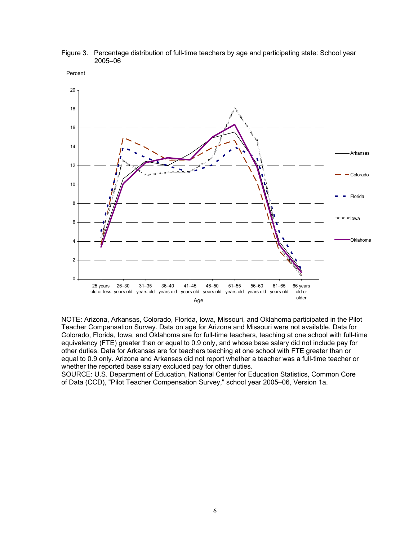



NOTE: Arizona, Arkansas, Colorado, Florida, Iowa, Missouri, and Oklahoma participated in the Pilot Teacher Compensation Survey. Data on age for Arizona and Missouri were not available. Data for Colorado, Florida, Iowa, and Oklahoma are for full-time teachers, teaching at one school with full-time equivalency (FTE) greater than or equal to 0.9 only, and whose base salary did not include pay for other duties. Data for Arkansas are for teachers teaching at one school with FTE greater than or equal to 0.9 only. Arizona and Arkansas did not report whether a teacher was a full-time teacher or whether the reported base salary excluded pay for other duties.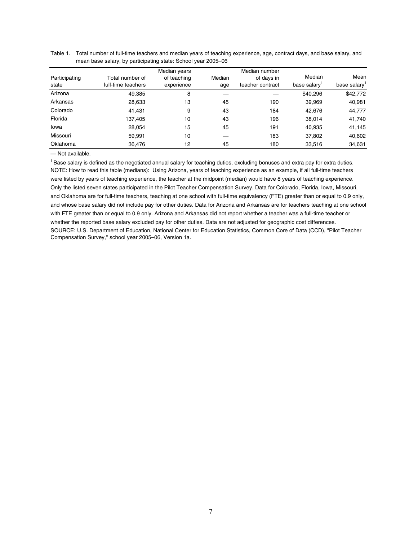|               |                    | Median years |        | Median number    |             |             |
|---------------|--------------------|--------------|--------|------------------|-------------|-------------|
| Participating | Total number of    | of teaching  | Median | of days in       | Median      | Mean        |
| state         | full-time teachers | experience   | age    | teacher contract | base salary | base salary |
| Arizona       | 49,385             | 8            |        |                  | \$40,296    | \$42,772    |
| Arkansas      | 28,633             | 13           | 45     | 190              | 39,969      | 40,981      |
| Colorado      | 41,431             | 9            | 43     | 184              | 42,676      | 44,777      |
| Florida       | 137,405            | 10           | 43     | 196              | 38,014      | 41,740      |
| lowa          | 28,054             | 15           | 45     | 191              | 40,935      | 41,145      |
| Missouri      | 59.991             | 10           |        | 183              | 37,802      | 40,602      |
| Oklahoma      | 36,476             | 12           | 45     | 180              | 33,516      | 34,631      |

Table 1. Total number of full-time teachers and median years of teaching experience, age, contract days, and base salary, and mean base salary, by participating state: School year 2005–06

— Not available.

SOURCE: U.S. Department of Education, National Center for Education Statistics, Common Core of Data (CCD), "Pilot Teacher Compensation Survey," school year 2005–06, Version 1a. NOTE: How to read this table (medians): Using Arizona, years of teaching experience as an example, if all full-time teachers were listed by years of teaching experience, the teacher at the midpoint (median) would have 8 years of teaching experience. Only the listed seven states participated in the Pilot Teacher Compensation Survey. Data for Colorado, Florida, Iowa, Missouri, and Oklahoma are for full-time teachers, teaching at one school with full-time equivalency (FTE) greater than or equal to 0.9 only, and whose base salary did not include pay for other duties. Data for Arizona and Arkansas are for teachers teaching at one school with FTE greater than or equal to 0.9 only. Arizona and Arkansas did not report whether a teacher was a full-time teacher or whether the reported base salary excluded pay for other duties. Data are not adjusted for geographic cost differences. <sup>1</sup> Base salarv is defined as the negotiated annual salary for teaching duties, excluding bonuses and extra pay for extra duties.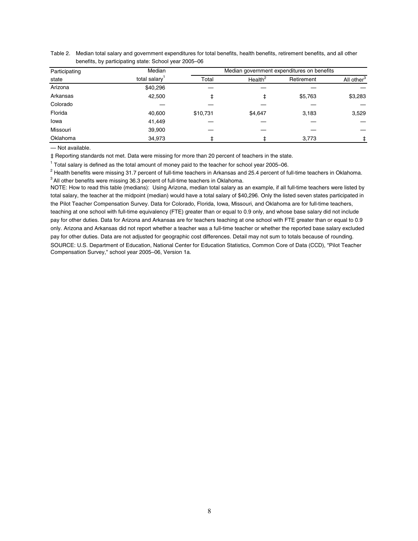| Participating | Median       |          |             | Median government expenditures on benefits |                        |
|---------------|--------------|----------|-------------|--------------------------------------------|------------------------|
| state         | total salary | Total    | Health $^2$ | Retirement                                 | All other <sup>3</sup> |
| Arizona       | \$40,296     |          |             |                                            |                        |
| Arkansas      | 42,500       |          |             | \$5,763                                    | \$3,283                |
| Colorado      |              |          |             |                                            |                        |
| Florida       | 40,600       | \$10,731 | \$4,647     | 3,183                                      | 3,529                  |
| lowa          | 41,449       |          |             |                                            |                        |
| Missouri      | 39,900       |          |             |                                            |                        |
| Oklahoma      | 34,973       |          |             | 3,773                                      |                        |

| Table 2. Median total salary and government expenditures for total benefits, health benefits, retirement benefits, and all other |
|----------------------------------------------------------------------------------------------------------------------------------|
| benefits, by participating state: School year 2005–06                                                                            |

— Not available.

‡ Reporting standards not met. Data were missing for more than 20 percent of teachers in the state.

 $1$  Total salary is defined as the total amount of money paid to the teacher for school year 2005–06.

 $^2$  Health benefits were missing 31.7 percent of full-time teachers in Arkansas and 25.4 percent of full-time teachers in Oklahoma.  $3$  All other benefits were missing 36.3 percent of full-time teachers in Oklahoma.

NOTE: How to read this table (medians): Using Arizona, median total salary as an example, if all full-time teachers were listed by total salary, the teacher at the midpoint (median) would have a total salary of \$40,296. Only the listed seven states participated in the Pilot Teacher Compensation Survey. Data for Colorado, Florida, Iowa, Missouri, and Oklahoma are for full-time teachers, teaching at one school with full-time equivalency (FTE) greater than or equal to 0.9 only, and whose base salary did not include pay for other duties. Data for Arizona and Arkansas are for teachers teaching at one school with FTE greater than or equal to 0.9 only. Arizona and Arkansas did not report whether a teacher was a full-time teacher or whether the reported base salary excluded pay for other duties. Data are not adjusted for geographic cost differences. Detail may not sum to totals because of rounding. SOURCE: U.S. Department of Education, National Center for Education Statistics, Common Core of Data (CCD), "Pilot Teacher Compensation Survey," school year 2005–06, Version 1a.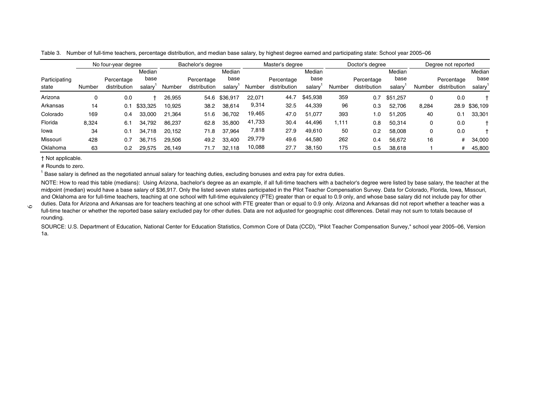Table 3. Number of full-time teachers, percentage distribution, and median base salary, by highest degree earned and participating state: School year 2005–06

| No four-year degree    |        |                            | Bachelor's degree        |        |                            | Master's degree          |        |                            | Doctor's degree          |        |                            | Degree not reported      |        |                            |                          |
|------------------------|--------|----------------------------|--------------------------|--------|----------------------------|--------------------------|--------|----------------------------|--------------------------|--------|----------------------------|--------------------------|--------|----------------------------|--------------------------|
| Participating<br>state | Number | Percentage<br>distribution | Median<br>base<br>salary | Number | Percentage<br>distribution | Median<br>base<br>salary | Number | Percentage<br>distribution | Median<br>base<br>salary | Number | Percentage<br>distribution | Median<br>base<br>salary | Number | Percentage<br>distribution | Median<br>base<br>salary |
| Arizona                | 0      | 0.0                        |                          | 26.955 | 54.6                       | \$36.917                 | 22.071 | 44.7                       | \$45,938                 | 359    | 0.7                        | \$51,257                 |        | 0.0                        |                          |
| Arkansas               | 14     | 0.1                        | \$33,325                 | 10.925 | 38.2                       | 38.614                   | 9,314  | 32.5                       | 44.339                   | 96     | 0.3                        | 52.706                   | 8,284  |                            | 28.9 \$36,109            |
| Colorado               | 169    | 0.4                        | 33.000                   | 21.364 | 51.6                       | 36.702                   | 19.465 | 47.0                       | 51.077                   | 393    | .0                         | 51,205                   | 40     | 0.1                        | 33,301                   |
| Florida                | 8,324  | 6.1                        | 34.792                   | 86.237 | 62.8                       | 35,800                   | 41,733 | 30.4                       | 44,496                   | 1.111  | 0.8                        | 50.314                   |        | 0.0                        |                          |
| Iowa                   | 34     | 0.1                        | 34.718                   | 20.152 | 71.8                       | 37.964                   | 7,818  | 27.9                       | 49.610                   | 50     | 0.2                        | 58,008                   |        | 0.0                        |                          |
| Missouri               | 428    | 0.7                        | 36.715                   | 29.506 | 49.2                       | 33.400                   | 29,779 | 49.6                       | 44.580                   | 262    | 0.4                        | 56.672                   | 16     | #                          | 34,000                   |
| Oklahoma               | 63     | 0.2                        | 29.575                   | 26.149 | 71.7                       | 32.118                   | 10.088 | 27.7                       | 38.150                   | 175    | 0.5                        | 38.618                   |        | #                          | 45,800                   |

† Not applicable.

# Rounds to zero.

<sup>1</sup> Base salary is defined as the negotiated annual salary for teaching duties, excluding bonuses and extra pay for extra duties.

NOTE: How to read this table (medians): Using Arizona, bachelor's degree as an example, if all full-time teachers with a bachelor's degree were listed by base salary, the teacher at the midpoint (median) would have a base salary of \$36,917. Only the listed seven states participated in the Pilot Teacher Compensation Survey. Data for Colorado, Florida, Iowa, Missouri, and Oklahoma are for full-time teachers, teaching at one school with full-time equivalency (FTE) greater than or equal to 0.9 only, and whose base salary did not include pay for other

 $\circ$ duties. Data for Arizona and Arkansas are for teachers teaching at one school with FTE greater than or equal to 0.9 only. Arizona and Arkansas did not report whether a teacher was a full-time teacher or whether the reported base salary excluded pay for other duties. Data are not adjusted for geographic cost differences. Detail may not sum to totals because of rounding.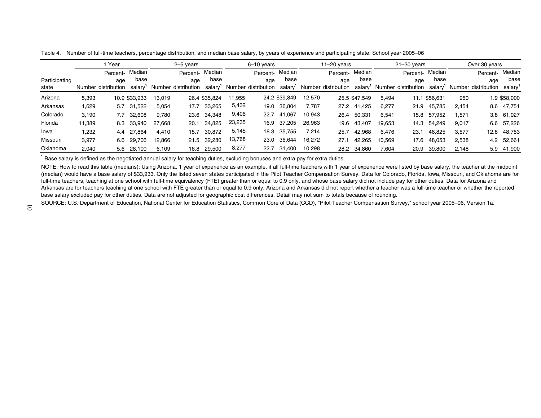|                        |        | Year                                   |                           |        | 2-5 years                              |                           |        | 6-10 years                             |                           |        | 11–20 vears                            |                           |        | $21 - 30$ years                        |                          |       | Over 30 years                          |                          |
|------------------------|--------|----------------------------------------|---------------------------|--------|----------------------------------------|---------------------------|--------|----------------------------------------|---------------------------|--------|----------------------------------------|---------------------------|--------|----------------------------------------|--------------------------|-------|----------------------------------------|--------------------------|
| Participating<br>state |        | Percent-<br>age<br>Number distribution | Median<br>base<br>salarv' |        | Percent-<br>age<br>Number distribution | Median<br>base<br>salary' |        | Percent-<br>age<br>Number distribution | Median<br>base<br>salary' |        | Percent-<br>age<br>Number distribution | Median<br>base<br>salary' |        | Percent-<br>age<br>Number distribution | Median<br>base<br>salary |       | Percent-<br>age<br>Number distribution | Median<br>base<br>salary |
| Arizona                | 5,393  |                                        | 10.9 \$33,933             | 13.019 |                                        | 26.4 \$35,824             | 11.955 |                                        | 24.2 \$39,849             | 12.570 |                                        | 25.5 \$47.549             | 5.494  |                                        | 11.1 \$56,631            | 950   |                                        | 1.9 \$58,000             |
| Arkansas               | 1.629  |                                        | 5.7 31,522                | 5,054  | 17.7                                   | 33.265                    | 5,432  | 19.0                                   | 36.804                    | 7.787  |                                        | 27.2 41.425               | 6.277  | 21.9                                   | 45.785                   | 2.454 |                                        | 8.6 47,751               |
| Colorado               | 3.190  |                                        | 7.7 32,608                | 9,780  |                                        | 23.6 34,348               | 9,406  | 22.7                                   | 41,067                    | 10.943 | 26.4                                   | 50,331                    | 6.541  | 15.8                                   | 57,952                   | 1.571 |                                        | 3.8 61,027               |
| Florida                | 11.389 | 8.3                                    | 33.940                    | 27.668 | 20.1                                   | 34,825                    | 23,235 | 16.9                                   | 37,205                    | 26.963 | 19.6                                   | 43.407                    | 19.653 | 14.3                                   | 54.249                   | 9.017 |                                        | 6.6 57,226               |
| Iowa                   | 1.232  |                                        | 4.4 27,864                | 4.410  | 15.7                                   | 30,872                    | 5,145  | 18.3                                   | 35,755                    | 7,214  | 25.7                                   | 42,968                    | 6.476  | 23.1                                   | 46,825                   | 3.577 | 12.8                                   | 48,753                   |
| Missouri               | 3,977  | 6.6                                    | 29.706                    | 12.866 |                                        | 21.5 32,280               | 13,768 | 23.0                                   | 36,644                    | 16.272 | 27.1                                   | 42.265                    | 10.569 | 17.6                                   | 48.053                   | 2,538 |                                        | 4.2 52,661               |
| Oklahoma               | 2.040  | 5.6                                    | 28,100                    | 6.109  |                                        | 16.8 29,500               | 8,277  | 22.7                                   | 31.400                    | 10.298 |                                        | 28.2 34,860               | 7,604  | 20.9                                   | 39,800                   | 2.148 | 5.9                                    | 41,900                   |

Table 4.—Number of full-time teachers, percentage distribution, and median base salary, by years of experience and participating state: School year 2005–06

 $1$  Base salary is defined as the negotiated annual salary for teaching duties, excluding bonuses and extra pay for extra duties.

NOTE: How to read this table (medians): Using Arizona, 1 year of experience as an example, if all full-time teachers with 1 year of experience were listed by base salary, the teacher at the midpoint (median) would have a base salary of \$33,933. Only the listed seven states participated in the Pilot Teacher Compensation Survey. Data for Colorado, Florida, Iowa, Missouri, and Oklahoma are for full-time teachers, teaching at one school with full-time equivalency (FTE) greater than or equal to 0.9 only, and whose base salary did not include pay for other duties. Data for Arizona and Arkansas are for teachers teaching at one school with FTE greater than or equal to 0.9 only. Arizona and Arkansas did not report whether a teacher was a full-time teacher or whether the reported base salary excluded pay for other duties. Data are not adjusted for geographic cost differences. Detail may not sum to totals because of rounding.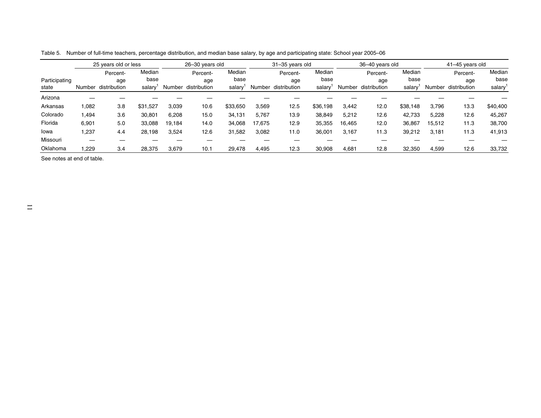|                        |        | 25 years old or less            |                          |        | 26-30 years old                 |                          |        | 31-35 years old                 |                          |        | 36-40 years old                 |                          |        | 41-45 years old                 |                          |  |
|------------------------|--------|---------------------------------|--------------------------|--------|---------------------------------|--------------------------|--------|---------------------------------|--------------------------|--------|---------------------------------|--------------------------|--------|---------------------------------|--------------------------|--|
| Participating<br>state | Number | Percent-<br>age<br>distribution | Median<br>base<br>salary | Number | Percent-<br>age<br>distribution | Median<br>base<br>salary | Number | Percent-<br>age<br>distribution | Median<br>base<br>salary | Number | Percent-<br>age<br>distribution | Median<br>base<br>salary | Number | Percent-<br>age<br>distribution | Median<br>base<br>salary |  |
| Arizona                |        |                                 |                          |        |                                 |                          |        |                                 |                          |        |                                 |                          |        |                                 |                          |  |
| Arkansas               | 982.   | 3.8                             | \$31.527                 | 3,039  | 10.6                            | \$33,650                 | 3,569  | 12.5                            | \$36,198                 | 3.442  | 12.0                            | \$38,148                 | 3.796  | 13.3                            | \$40,400                 |  |
| Colorado               | 494. ا | 3.6                             | 30.801                   | 6,208  | 15.0                            | 34,131                   | 5,767  | 13.9                            | 38,849                   | 5,212  | 12.6                            | 42,733                   | 5,228  | 12.6                            | 45,267                   |  |
| Florida                | 6,901  | 5.0                             | 33.088                   | 19.184 | 14.0                            | 34.068                   | 17.675 | 12.9                            | 35.355                   | 16,465 | 12.0                            | 36.867                   | 15.512 | 11.3                            | 38,700                   |  |
| Iowa                   | 1,237  | 4.4                             | 28,198                   | 3,524  | 12.6                            | 31,582                   | 3,082  | 11.0                            | 36,001                   | 3,167  | 11.3                            | 39,212                   | 3,181  | 11.3                            | 41,913                   |  |
| Missouri               |        |                                 |                          |        |                                 |                          |        |                                 |                          |        |                                 |                          |        |                                 |                          |  |
| Oklahoma               | .229   | 3.4                             | 28.375                   | 3.679  | 10.1                            | 29.478                   | 4.495  | 12.3                            | 30.908                   | 4.681  | 12.8                            | 32.350                   | 4.599  | 12.6                            | 33,732                   |  |

Table 5.—Number of full-time teachers, percentage distribution, and median base salary, by age and participating state: School year 2005–06

See notes at end of table.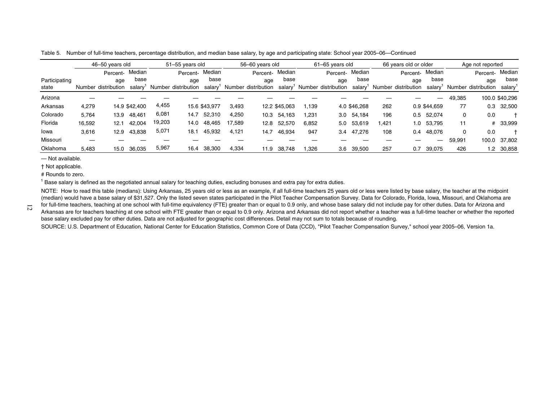| Table 5. Number of full-time teachers, percentage distribution, and median base salary, by age and participating state: School year 2005-06-Continued |  |  |  |
|-------------------------------------------------------------------------------------------------------------------------------------------------------|--|--|--|
|                                                                                                                                                       |  |  |  |

|               |        | 46-50 years old     |                |        | 51–55 years old     |                |        | 56-60 years old        |               |        | 61-65 years old     |                |       | 66 years old or older |                |        | Age not reported    |                     |
|---------------|--------|---------------------|----------------|--------|---------------------|----------------|--------|------------------------|---------------|--------|---------------------|----------------|-------|-----------------------|----------------|--------|---------------------|---------------------|
| Participating |        | Percent-<br>age     | Median<br>base |        | Percent-<br>age     | Median<br>base |        | Percent- Median<br>age | base          |        | Percent-<br>age     | Median<br>base |       | Percent-<br>age       | Median<br>base |        | Percent-<br>age     | Median<br>base      |
| state         |        | Number distribution | salarv'        |        | Number distribution | salary'        |        | Number distribution    | salary'       |        | Number distribution | salary         |       | Number distribution   | salarv'        |        | Number distribution | salary <sup>'</sup> |
| Arizona       |        |                     |                |        |                     |                |        |                        |               |        |                     |                |       |                       | —              | 49.385 |                     | 100.0 \$40,296      |
| Arkansas      | 4.279  |                     | 14.9 \$42.400  | 4,455  |                     | 15.6 \$43,977  | 3,493  |                        | 12.2 \$45.063 | 1.139  |                     | 4.0 \$46.268   | 262   |                       | 0.9 \$44,659   | 77     | 0.3                 | 32,500              |
| Colorado      | 5.764  | 13.9                | 48,461         | 6,081  | 14.7                | 52,310         | 4,250  | 10.3                   | 54,163        | 231. ا | 3.0 <sub>1</sub>    | 54,184         | 196   |                       | 0.5 52,074     | 0      | 0.0                 |                     |
| Florida       | 16.592 | 12.1                | 42,004         | 19,203 | 14.0                | 48,465         | 17,589 | 12.8                   | 52,570        | 6,852  | 5.0                 | 53,619         | 1.421 |                       | 1.0 53,795     | 11     |                     | # 33,999            |
| Iowa          | 3,616  | 12.9                | 43,838         | 5,071  | 18.1                | 45,932         | 4.121  | 14.7                   | 46,934        | 947    |                     | 3.4 47,276     | 108   | 0.4                   | 48,076         | 0      | 0.0                 |                     |
| Missouri      |        |                     |                |        |                     |                |        |                        |               |        |                     |                |       |                       | —              | 59,991 | 100.0               | 37,802              |
| Oklahoma      | 5.483  | 15.0                | 36.035         | 5,967  | 16.4                | 38,300         | 4.334  | 11.9                   | 38.748        | .326   | 3.6                 | 39.500         | 257   | 0.7                   | 39.075         | 426    | 1.2                 | 30.858              |

— Not available.

† Not applicable.

# Rounds to zero.

<sup>1</sup> Base salary is defined as the negotiated annual salary for teaching duties, excluding bonuses and extra pay for extra duties.

NOTE: How to read this table (medians): Using Arkansas, 25 years old or less as an example, if all full-time teachers 25 years old or less were listed by base salary, the teacher at the midpoint (median) would have a base salary of \$31,527. Only the listed seven states participated in the Pilot Teacher Compensation Survey. Data for Colorado, Florida, Iowa, Missouri, and Oklahoma are for full-time teachers, teaching at one school with full-time equivalency (FTE) greater than or equal to 0.9 only, and whose base salary did not include pay for other duties. Data for Arizona and

Arkansas are for teachers teaching at one school with FTE greater than or equal to 0.9 only. Arizona and Arkansas did not report whether a teacher was a full-time teacher or whether the reported base salary excluded pay for other duties. Data are not adjusted for geographic cost differences. Detail may not sum to totals because of rounding. 12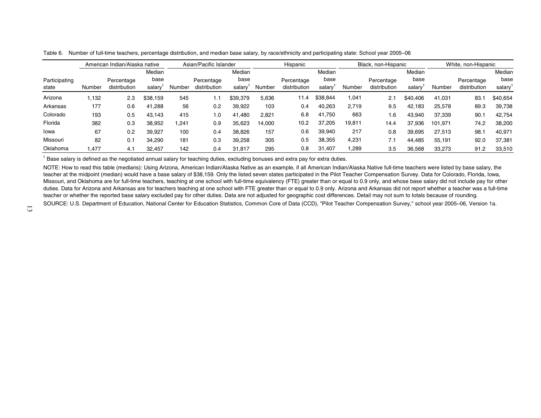|  |  |  | Table 6. Number of full-time teachers, percentage distribution, and median base salary, by race/ethnicity and participating state: School year 2005-06 |
|--|--|--|--------------------------------------------------------------------------------------------------------------------------------------------------------|
|  |  |  |                                                                                                                                                        |

|                        | American Indian/Alaska native |                            |                          | Asian/Pacific Islander |                            |                          | Hispanic |                            |                          | Black, non-Hispanic |                            |                          | White, non-Hispanic |                            |                          |
|------------------------|-------------------------------|----------------------------|--------------------------|------------------------|----------------------------|--------------------------|----------|----------------------------|--------------------------|---------------------|----------------------------|--------------------------|---------------------|----------------------------|--------------------------|
| Participating<br>state | Number                        | Percentage<br>distribution | Median<br>base<br>salary | Number                 | Percentage<br>distribution | Median<br>base<br>salary | Number   | Percentage<br>distribution | Median<br>base<br>salary | Number              | Percentage<br>distribution | Median<br>base<br>salary | Number              | Percentage<br>distribution | Median<br>base<br>salary |
| Arizona                | 1,132                         | 2.3                        | \$38.159                 | 545                    | Ι.                         | \$39.379                 | 5,636    | 11.4                       | \$38,844                 | 1,041               | 2.1                        | \$40,406                 | 41,031              | 83.7                       | \$40,654                 |
| Arkansas               | 177                           | 0.6                        | 41,288                   | 56                     | 0.2                        | 39,922                   | 103      | 0.4                        | 40.263                   | 2,719               | 9.5                        | 42,183                   | 25,578              | 89.3                       | 39,738                   |
| Colorado               | 193                           | 0.5                        | 43.143                   | 415                    | 1.0                        | .480<br>41               | 2,821    | 6.8                        | 41.750                   | 663                 | .6                         | 43.940                   | 37.339              | 90.1                       | 42,754                   |
| Florida                | 382                           | 0.3                        | 38,952                   | 1.241                  | 0.9                        | 35.623                   | 14,000   | 10.2                       | 37,205                   | 19,811              | 14.4                       | 37.936                   | 101.971             | 74.2                       | 38,200                   |
| lowa                   | 67                            | 0.2                        | 39.927                   | 100                    | 0.4                        | 38.826                   | 157      | 0.6                        | 39,940                   | 217                 | 0.8                        | 39.695                   | 27.513              | 98.1                       | 40,971                   |
| Missouri               | 82                            | 0.1                        | 34.290                   | 181                    | 0.3                        | 39,258                   | 305      | 0.5                        | 38,355                   | 4,231               | 7.1                        | 44.485                   | 55,191              | 92.0                       | 37,381                   |
| Oklahoma               | .477                          | 4.1                        | 32,457                   | 142                    | 0.4                        | 31.817                   | 295      | 0.8                        | 31.407                   | <b>289.</b>         | 3.5                        | 36,568                   | 33.273              | 91.2                       | 33,510                   |

<sup>1</sup> Base salary is defined as the negotiated annual salary for teaching duties, excluding bonuses and extra pay for extra duties.

NOTE: How to read this table (medians): Using Arizona, American Indian/Alaska Native as an example, if all American Indian/Alaska Native full-time teachers were listed by base salary, the teacher at the midpoint (median) would have a base salary of \$38,159. Only the listed seven states participated in the Pilot Teacher Compensation Survey. Data for Colorado, Florida, Iowa, Missouri, and Oklahoma are for full-time teachers, teaching at one school with full-time equivalency (FTE) greater than or equal to 0.9 only, and whose base salary did not include pay for other duties. Data for Arizona and Arkansas are for teachers teaching at one school with FTE greater than or equal to 0.9 only. Arizona and Arkansas did not report whether a teacher was a full-time teacher or whether the reported base salary excluded pay for other duties. Data are not adjusted for geographic cost differences. Detail may not sum to totals because of rounding.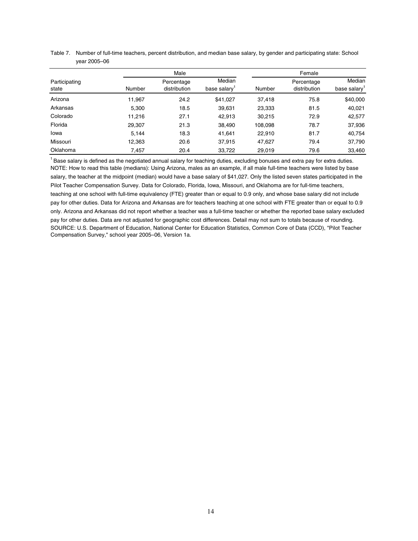|                        |        | Male                       |                       |         | Female                     |                        |  |  |  |
|------------------------|--------|----------------------------|-----------------------|---------|----------------------------|------------------------|--|--|--|
| Participating<br>state | Number | Percentage<br>distribution | Median<br>base salary | Number  | Percentage<br>distribution | Median<br>base salary' |  |  |  |
| Arizona                | 11,967 | 24.2                       | \$41,027              | 37,418  | 75.8                       | \$40,000               |  |  |  |
| Arkansas               | 5,300  | 18.5                       | 39,631                | 23,333  | 81.5                       | 40,021                 |  |  |  |
| Colorado               | 11.216 | 27.1                       | 42,913                | 30.215  | 72.9                       | 42,577                 |  |  |  |
| Florida                | 29,307 | 21.3                       | 38,490                | 108,098 | 78.7                       | 37,936                 |  |  |  |
| lowa                   | 5.144  | 18.3                       | 41,641                | 22.910  | 81.7                       | 40,754                 |  |  |  |
| Missouri               | 12,363 | 20.6                       | 37.915                | 47,627  | 79.4                       | 37,790                 |  |  |  |
| Oklahoma               | 7.457  | 20.4                       | 33.722                | 29,019  | 79.6                       | 33,460                 |  |  |  |

Table 7.—Number of full-time teachers, percent distribution, and median base salary, by gender and participating state: School vear 2005–06

NOTE: How to read this table (medians): Using Arizona, males as an example, if all male full-time teachers were listed by base salary, the teacher at the midpoint (median) would have a base salary of \$41,027. Only the listed seven states participated in the Pilot Teacher Compensation Survey. Data for Colorado, Florida, Iowa, Missouri, and Oklahoma are for full-time teachers, teaching at one school with full-time equivalency (FTE) greater than or equal to 0.9 only, and whose base salary did not include pay for other duties. Data for Arizona and Arkansas are for teachers teaching at one school with FTE greater than or equal to 0.9 only. Arizona and Arkansas did not report whether a teacher was a full-time teacher or whether the reported base salary excluded pay for other duties. Data are not adjusted for geographic cost differences. Detail may not sum to totals because of rounding. SOURCE: U.S. Department of Education, National Center for Education Statistics, Common Core of Data (CCD), "Pilot Teacher Compensation Survey," school year 2005–06, Version 1a.  $1$  Base salary is defined as the negotiated annual salary for teaching duties, excluding bonuses and extra pay for extra duties.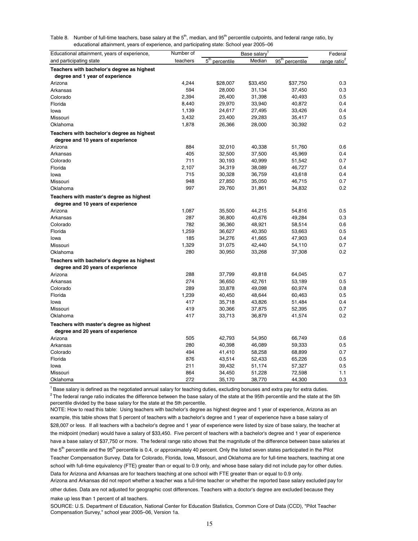| Table 8. Number of full-time teachers, base salary at the $5th$ , median, and $95th$ percentile cutpoints, and federal range ratio, by |
|----------------------------------------------------------------------------------------------------------------------------------------|
| educational attainment, years of experience, and participating state: School year 2005–06                                              |

| Educational attainment, years of experience, | Number of |                  | Federal               |                                |                          |
|----------------------------------------------|-----------|------------------|-----------------------|--------------------------------|--------------------------|
| and participating state                      | teachers  | $5th$ percentile | Base salary<br>Median | $95^{\text{th}}$<br>percentile | range ratio <sup>2</sup> |
| Teachers with bachelor's degree as highest   |           |                  |                       |                                |                          |
| degree and 1 year of experience              |           |                  |                       |                                |                          |
| Arizona                                      | 4,244     | \$28,007         | \$33,450              | \$37,750                       | 0.3                      |
| Arkansas                                     | 594       | 28,000           | 31,134                | 37,450                         | 0.3                      |
| Colorado                                     | 2,394     | 26,400           | 31,398                | 40,493                         | 0.5                      |
| Florida                                      | 8,440     | 29,970           | 33,940                | 40,872                         | 0.4                      |
| lowa                                         | 1,139     | 24,617           | 27,495                | 33,426                         | 0.4                      |
| Missouri                                     | 3,432     | 23,400           | 29,283                | 35,417                         | 0.5                      |
| Oklahoma                                     | 1,878     | 26,366           | 28,000                | 30,392                         | 0.2                      |
| Teachers with bachelor's degree as highest   |           |                  |                       |                                |                          |
| degree and 10 years of experience            |           |                  |                       |                                |                          |
| Arizona                                      | 884       | 32,010           | 40,338                | 51,760                         | 0.6                      |
| Arkansas                                     | 405       | 32,500           | 37,500                | 45,969                         | 0.4                      |
| Colorado                                     | 711       | 30,193           | 40,999                | 51,542                         | 0.7                      |
| Florida                                      | 2,107     | 34,319           | 38,089                | 46,727                         | 0.4                      |
| lowa                                         | 715       | 30,328           | 36,759                | 43,618                         | 0.4                      |
| Missouri                                     | 948       | 27,850           | 35,050                | 46,715                         | 0.7                      |
| Oklahoma                                     | 997       | 29,760           | 31,861                | 34,832                         | 0.2                      |
| Teachers with master's degree as highest     |           |                  |                       |                                |                          |
| degree and 10 years of experience            |           |                  |                       |                                |                          |
| Arizona                                      | 1,087     | 35,500           | 44,215                | 54,816                         | 0.5                      |
| Arkansas                                     | 287       | 36,800           | 40,676                | 49,284                         | 0.3                      |
| Colorado                                     | 782       | 36,360           | 48,921                | 58,514                         | 0.6                      |
| Florida                                      | 1,259     | 36,627           | 40,350                | 53,663                         | 0.5                      |
| lowa                                         | 185       | 34,276           | 41,665                | 47,903                         | 0.4                      |
| Missouri                                     | 1,329     | 31,075           | 42,440                | 54,110                         | 0.7                      |
| Oklahoma                                     | 280       | 30,950           | 33,268                | 37,308                         | 0.2                      |
| Teachers with bachelor's degree as highest   |           |                  |                       |                                |                          |
| degree and 20 years of experience            |           |                  |                       |                                |                          |
| Arizona                                      | 288       | 37,799           | 49,818                | 64,045                         | 0.7                      |
| Arkansas                                     | 274       | 36,650           | 42,761                | 53,189                         | 0.5                      |
| Colorado                                     | 289       | 33,878           | 49,098                | 60,974                         | 0.8                      |
| Florida                                      | 1,239     | 40,450           | 48,644                | 60,463                         | 0.5                      |
| lowa                                         | 417       | 35,718           | 43,826                | 51,484                         | 0.4                      |
| Missouri                                     | 419       | 30,366           | 37,875                | 52,395                         | 0.7                      |
| Oklahoma                                     | 417       | 33,713           | 36,879                | 41,574                         | 0.2                      |
| Teachers with master's degree as highest     |           |                  |                       |                                |                          |
| degree and 20 years of experience            |           |                  |                       |                                |                          |
| Arizona                                      | 505       | 42,793           | 54,950                | 66,749                         | 0.6                      |
| Arkansas                                     | 280       | 40,398           | 46,089                | 59,333                         | 0.5                      |
| Colorado                                     | 494       | 41,410           | 58,258                | 68,899                         | 0.7                      |
| Florida                                      | 876       | 43,514           | 52,433                | 65,226                         | 0.5                      |
| lowa                                         | 211       | 39,432           | 51,174                | 57,327                         | 0.5                      |
| Missouri                                     | 864       | 34,450           | 51,228                | 72,598                         | 1.1                      |
| Oklahoma                                     | 272       | 35,170           | 38,770                | 44,300                         | 0.3                      |

<sup>1</sup> Base salary is defined as the negotiated annual salary for teaching duties, excluding bonuses and extra pay for extra duties.

 $^2$ The federal range ratio indicates the difference between the base salary of the state at the 95th percentile and the state at the 5th percentile divided by the base salary for the state at the 5th percentile.

NOTE: How to read this table: Using teachers with bachelor's degree as highest degree and 1 year of experience, Arizona as an example, this table shows that 5 percent of teachers with a bachelor's degree and 1 year of experience have a base salary of \$28,007 or less. If all teachers with a bachelor's degree and 1 year of experience were listed by size of base salary, the teacher at the midpoint (median) would have a salary of \$33,450. Five percent of teachers with a bachelor's degree and 1 year of experience have a base salary of \$37,750 or more. The federal range ratio shows that the magnitude of the difference between base salaries at the  $5<sup>th</sup>$  percentile and the  $95<sup>th</sup>$  percentile is 0.4, or approximately 40 percent. Only the listed seven states participated in the Pilot Teacher Compensation Survey. Data for Colorado, Florida, Iowa, Missouri, and Oklahoma are for full-time teachers, teaching at one school with full-time equivalency (FTE) greater than or equal to 0.9 only, and whose base salary did not include pay for other duties. Data for Arizona and Arkansas are for teachers teaching at one school with FTE greater than or equal to 0.9 only.

Arizona and Arkansas did not report whether a teacher was a full-time teacher or whether the reported base salary excluded pay for other duties. Data are not adjusted for geographic cost differences. Teachers with a doctor's degree are excluded because they make up less than 1 percent of all teachers.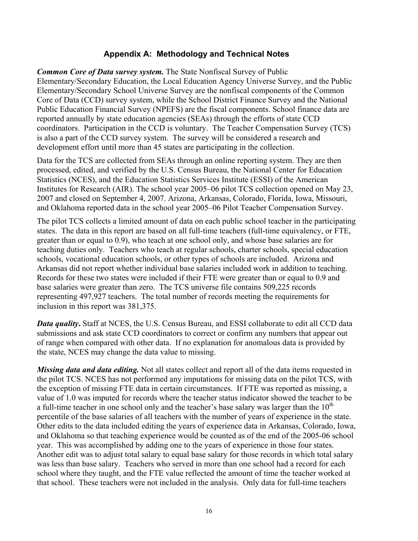### **Appendix A: Methodology and Technical Notes**

*Common Core of Data survey system.* The State Nonfiscal Survey of Public Elementary/Secondary Education, the Local Education Agency Universe Survey, and the Public Elementary/Secondary School Universe Survey are the nonfiscal components of the Common Core of Data (CCD) survey system, while the School District Finance Survey and the National Public Education Financial Survey (NPEFS) are the fiscal components. School finance data are reported annually by state education agencies (SEAs) through the efforts of state CCD coordinators. Participation in the CCD is voluntary. The Teacher Compensation Survey (TCS) is also a part of the CCD survey system. The survey will be considered a research and development effort until more than 45 states are participating in the collection.

Data for the TCS are collected from SEAs through an online reporting system. They are then processed, edited, and verified by the U.S. Census Bureau, the National Center for Education Statistics (NCES), and the Education Statistics Services Institute (ESSI) of the American Institutes for Research (AIR). The school year 2005–06 pilot TCS collection opened on May 23, 2007 and closed on September 4, 2007. Arizona, Arkansas, Colorado, Florida, Iowa, Missouri, and Oklahoma reported data in the school year 2005–06 Pilot Teacher Compensation Survey.

The pilot TCS collects a limited amount of data on each public school teacher in the participating states. The data in this report are based on all full-time teachers (full-time equivalency, or FTE, greater than or equal to 0.9), who teach at one school only, and whose base salaries are for teaching duties only. Teachers who teach at regular schools, charter schools, special education schools, vocational education schools, or other types of schools are included. Arizona and Arkansas did not report whether individual base salaries included work in addition to teaching. Records for these two states were included if their FTE were greater than or equal to 0.9 and base salaries were greater than zero. The TCS universe file contains 509,225 records representing 497,927 teachers. The total number of records meeting the requirements for inclusion in this report was 381,375.

*Data quality*. Staff at NCES, the U.S. Census Bureau, and ESSI collaborate to edit all CCD data submissions and ask state CCD coordinators to correct or confirm any numbers that appear out of range when compared with other data. If no explanation for anomalous data is provided by the state, NCES may change the data value to missing.

*Missing data and data editing.* Not all states collect and report all of the data items requested in the pilot TCS. NCES has not performed any imputations for missing data on the pilot TCS, with the exception of missing FTE data in certain circumstances. If FTE was reported as missing, a value of 1.0 was imputed for records where the teacher status indicator showed the teacher to be a full-time teacher in one school only and the teacher's base salary was larger than the  $10<sup>th</sup>$ percentile of the base salaries of all teachers with the number of years of experience in the state. Other edits to the data included editing the years of experience data in Arkansas, Colorado, Iowa, and Oklahoma so that teaching experience would be counted as of the end of the 2005-06 school year. This was accomplished by adding one to the years of experience in those four states. Another edit was to adjust total salary to equal base salary for those records in which total salary was less than base salary. Teachers who served in more than one school had a record for each school where they taught, and the FTE value reflected the amount of time the teacher worked at that school. These teachers were not included in the analysis. Only data for full-time teachers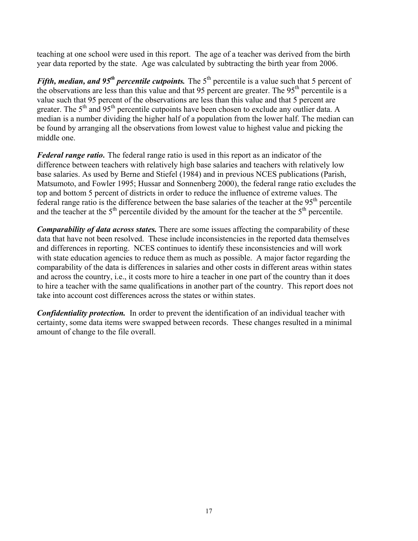teaching at one school were used in this report. The age of a teacher was derived from the birth year data reported by the state. Age was calculated by subtracting the birth year from 2006.

*Fifth, median, and 95<sup>th</sup> percentile cutpoints.* The 5<sup>th</sup> percentile is a value such that 5 percent of the observations are less than this value and that 95 percent are greater. The 95<sup>th</sup> percentile is a value such that 95 percent of the observations are less than this value and that 5 percent are greater. The 5<sup>th</sup> and 95<sup>th</sup> percentile cutpoints have been chosen to exclude any outlier data. A median is a number dividing the higher half of a population from the lower half. The median can be found by arranging all the observations from lowest value to highest value and picking the middle one.

*Federal range ratio***.** The federal range ratio is used in this report as an indicator of the difference between teachers with relatively high base salaries and teachers with relatively low base salaries. As used by Berne and Stiefel (1984) and in previous NCES publications (Parish, Matsumoto, and Fowler 1995; Hussar and Sonnenberg 2000), the federal range ratio excludes the top and bottom 5 percent of districts in order to reduce the influence of extreme values. The federal range ratio is the difference between the base salaries of the teacher at the  $95<sup>th</sup>$  percentile and the teacher at the  $5<sup>th</sup>$  percentile divided by the amount for the teacher at the  $5<sup>th</sup>$  percentile.

*Comparability of data across states.* There are some issues affecting the comparability of these data that have not been resolved. These include inconsistencies in the reported data themselves and differences in reporting. NCES continues to identify these inconsistencies and will work with state education agencies to reduce them as much as possible. A major factor regarding the comparability of the data is differences in salaries and other costs in different areas within states and across the country, i.e., it costs more to hire a teacher in one part of the country than it does to hire a teacher with the same qualifications in another part of the country. This report does not take into account cost differences across the states or within states.

*Confidentiality protection.* In order to prevent the identification of an individual teacher with certainty, some data items were swapped between records. These changes resulted in a minimal amount of change to the file overall.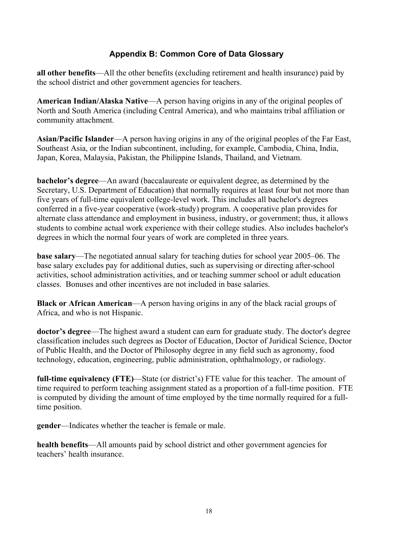## **Appendix B: Common Core of Data Glossary**

**all other benefits**—All the other benefits (excluding retirement and health insurance) paid by the school district and other government agencies for teachers.

**American Indian/Alaska Native**—A person having origins in any of the original peoples of North and South America (including Central America), and who maintains tribal affiliation or community attachment.

**Asian/Pacific Islander**—A person having origins in any of the original peoples of the Far East, Southeast Asia, or the Indian subcontinent, including, for example, Cambodia, China, India, Japan, Korea, Malaysia, Pakistan, the Philippine Islands, Thailand, and Vietnam.

**bachelor's degree—An** award (baccalaureate or equivalent degree, as determined by the Secretary, U.S. Department of Education) that normally requires at least four but not more than five years of full-time equivalent college-level work. This includes all bachelor's degrees conferred in a five-year cooperative (work-study) program. A cooperative plan provides for alternate class attendance and employment in business, industry, or government; thus, it allows students to combine actual work experience with their college studies. Also includes bachelor's degrees in which the normal four years of work are completed in three years.

**base salary**—The negotiated annual salary for teaching duties for school year 2005–06. The base salary excludes pay for additional duties, such as supervising or directing after-school activities, school administration activities, and or teaching summer school or adult education classes. Bonuses and other incentives are not included in base salaries.

**Black or African American**—A person having origins in any of the black racial groups of Africa, and who is not Hispanic.

**doctor's degree**—The highest award a student can earn for graduate study. The doctor's degree classification includes such degrees as Doctor of Education, Doctor of Juridical Science, Doctor of Public Health, and the Doctor of Philosophy degree in any field such as agronomy, food technology, education, engineering, public administration, ophthalmology, or radiology.

**full-time equivalency (FTE)—State (or district's) FTE value for this teacher. The amount of** time required to perform teaching assignment stated as a proportion of a full-time position. FTE is computed by dividing the amount of time employed by the time normally required for a fulltime position.

**gender**—Indicates whether the teacher is female or male.

**health benefits**—All amounts paid by school district and other government agencies for teachers' health insurance.